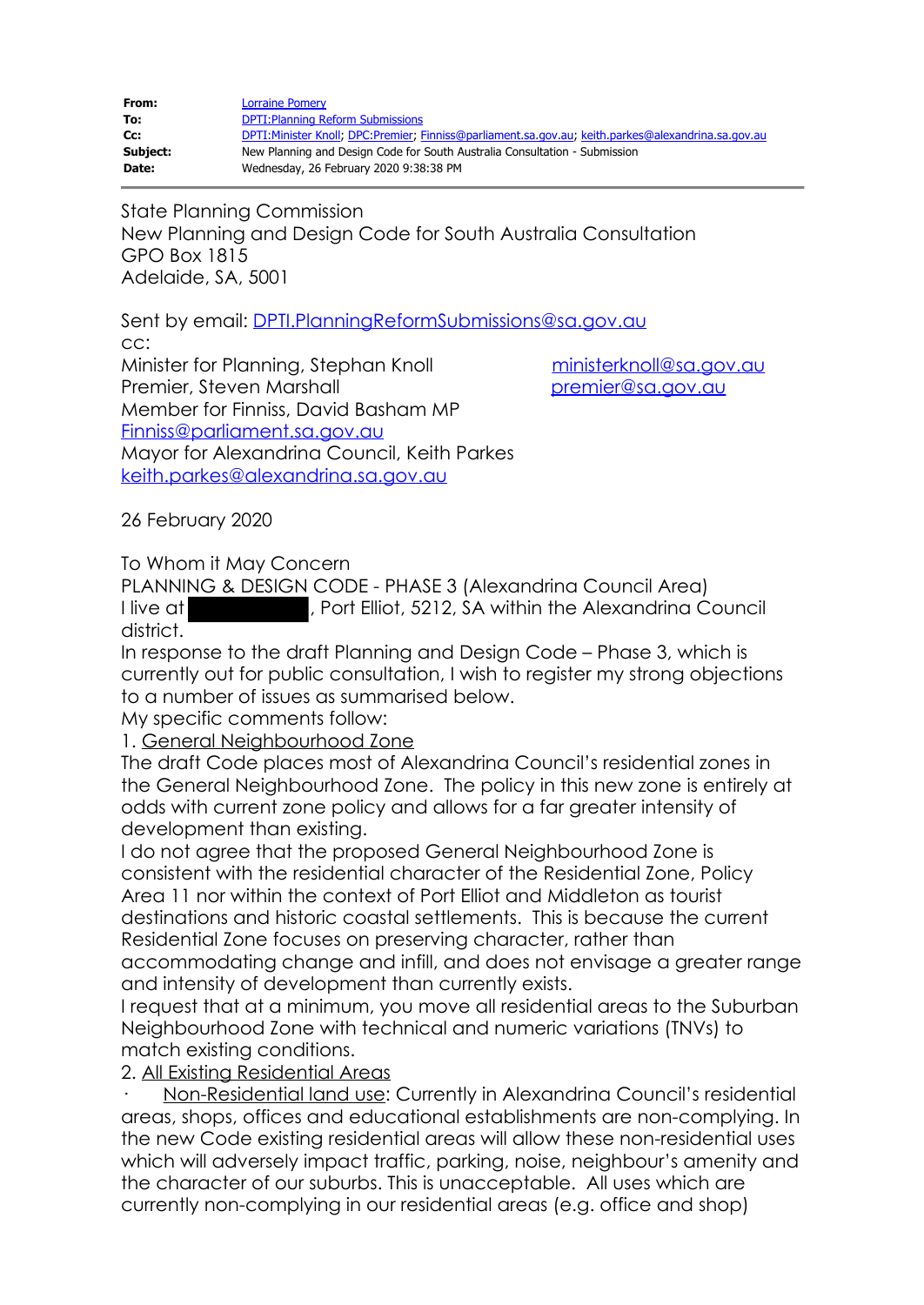| From:    | <b>Lorraine Pomery</b>                                                                             |
|----------|----------------------------------------------------------------------------------------------------|
| To:      | <b>DPTI: Planning Reform Submissions</b>                                                           |
| Cc:      | DPTI:Minister Knoll; DPC:Premier; Finniss@parliament.sa.gov.au; keith.parkes@alexandrina.sa.gov.au |
| Subject: | New Planning and Design Code for South Australia Consultation - Submission                         |
| Date:    | Wednesday, 26 February 2020 9:38:38 PM                                                             |

State Planning Commission New Planning and Design Code for South Australia Consultation GPO Box 1815 Adelaide, SA, 5001

Sent by email: DPTI.PlanningReformSubmissions@sa.gov.au cc:

Minister for Planning, Stephan Knoll ministerknoll@sa.gov.au Premier, Steven Marshall premier@sa.gov.au Member for Finniss, David Basham MP Finniss@parliament.sa.gov.au Mayor for Alexandrina Council, Keith Parkes keith.parkes@alexandrina.sa.gov.au

26 February 2020

To Whom it May Concern

PLANNING & DESIGN CODE - PHASE 3 (Alexandrina Council Area) I live at **Elliot**, Port Elliot, 5212, SA within the Alexandrina Council district.

In response to the draft Planning and Design Code – Phase 3, which is currently out for public consultation, I wish to register my strong objections to a number of issues as summarised below.

My specific comments follow:

1. General Neighbourhood Zone

The draft Code places most of Alexandrina Council's residential zones in the General Neighbourhood Zone. The policy in this new zone is entirely at odds with current zone policy and allows for a far greater intensity of development than existing.

I do not agree that the proposed General Neighbourhood Zone is consistent with the residential character of the Residential Zone, Policy Area 11 nor within the context of Port Elliot and Middleton as tourist destinations and historic coastal settlements. This is because the current Residential Zone focuses on preserving character, rather than accommodating change and infill, and does not envisage a greater range

and intensity of development than currently exists.

I request that at a minimum, you move all residential areas to the Suburban Neighbourhood Zone with technical and numeric variations (TNVs) to match existing conditions.

2. All Existing Residential Areas

· Non-Residential land use: Currently in Alexandrina Council's residential areas, shops, offices and educational establishments are non-complying. In the new Code existing residential areas will allow these non-residential uses which will adversely impact traffic, parking, noise, neighbour's amenity and the character of our suburbs. This is unacceptable. All uses which are currently non-complying in our residential areas (e.g. office and shop)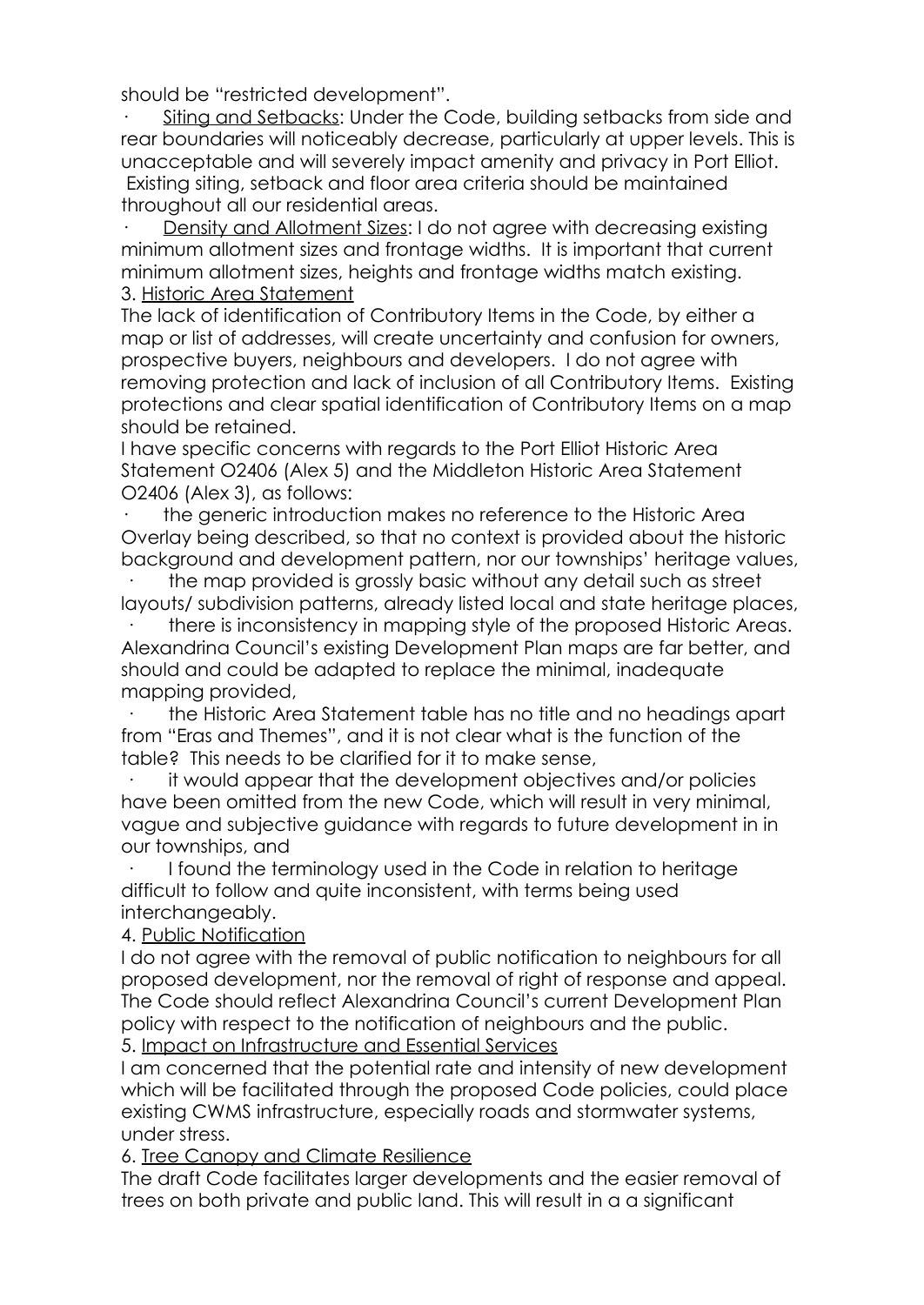should be "restricted development".

· Siting and Setbacks: Under the Code, building setbacks from side and rear boundaries will noticeably decrease, particularly at upper levels. This is unacceptable and will severely impact amenity and privacy in Port Elliot. Existing siting, setback and floor area criteria should be maintained throughout all our residential areas.

· Density and Allotment Sizes: I do not agree with decreasing existing minimum allotment sizes and frontage widths. It is important that current minimum allotment sizes, heights and frontage widths match existing. 3. Historic Area Statement

The lack of identification of Contributory Items in the Code, by either a map or list of addresses, will create uncertainty and confusion for owners, prospective buyers, neighbours and developers. I do not agree with removing protection and lack of inclusion of all Contributory Items. Existing protections and clear spatial identification of Contributory Items on a map should be retained.

I have specific concerns with regards to the Port Elliot Historic Area Statement O2406 (Alex 5) and the Middleton Historic Area Statement O2406 (Alex 3), as follows:

the generic introduction makes no reference to the Historic Area Overlay being described, so that no context is provided about the historic background and development pattern, nor our townships' heritage values,

the map provided is grossly basic without any detail such as street layouts/ subdivision patterns, already listed local and state heritage places,

· there is inconsistency in mapping style of the proposed Historic Areas. Alexandrina Council's existing Development Plan maps are far better, and should and could be adapted to replace the minimal, inadequate mapping provided,

· the Historic Area Statement table has no title and no headings apart from "Eras and Themes", and it is not clear what is the function of the table? This needs to be clarified for it to make sense,

it would appear that the development objectives and/or policies have been omitted from the new Code, which will result in very minimal, vague and subjective guidance with regards to future development in in our townships, and

· I found the terminology used in the Code in relation to heritage difficult to follow and quite inconsistent, with terms being used interchangeably.

4. Public Notification

I do not agree with the removal of public notification to neighbours for all proposed development, nor the removal of right of response and appeal. The Code should reflect Alexandrina Council's current Development Plan policy with respect to the notification of neighbours and the public.

5. Impact on Infrastructure and Essential Services

I am concerned that the potential rate and intensity of new development which will be facilitated through the proposed Code policies, could place existing CWMS infrastructure, especially roads and stormwater systems, under stress.

6. Tree Canopy and Climate Resilience

The draft Code facilitates larger developments and the easier removal of trees on both private and public land. This will result in a a significant